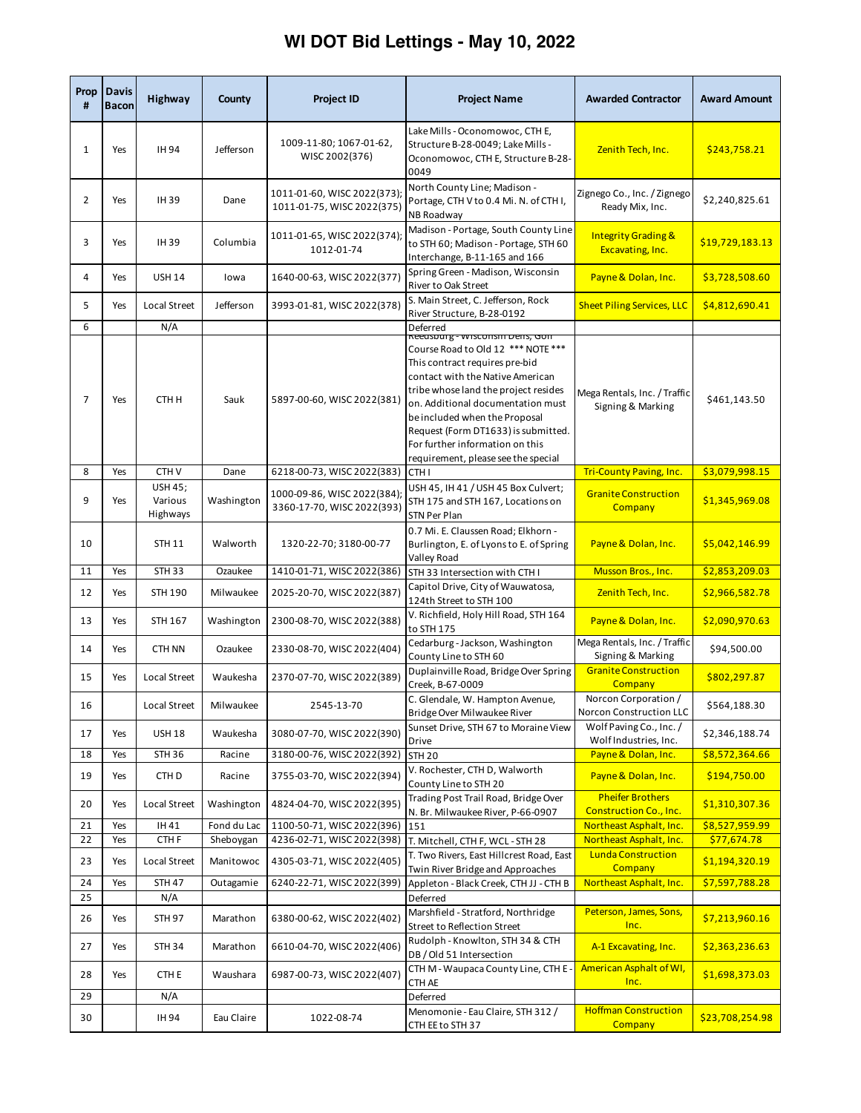## **WI DOT Bid Lettings - May 10, 2022**

| #              | Prop   Davis<br><b>Bacon</b> | <b>Highway</b>                        | County      | <b>Project ID</b>                                         | <b>Project Name</b>                                                                                                                                                                                                                                                                                                                     | <b>Awarded Contractor</b>                                | <b>Award Amount</b> |
|----------------|------------------------------|---------------------------------------|-------------|-----------------------------------------------------------|-----------------------------------------------------------------------------------------------------------------------------------------------------------------------------------------------------------------------------------------------------------------------------------------------------------------------------------------|----------------------------------------------------------|---------------------|
| 1              | Yes                          | IH 94                                 | Jefferson   | 1009-11-80; 1067-01-62,<br>WISC 2002(376)                 | Lake Mills - Oconomowoc, CTH E,<br>Structure B-28-0049; Lake Mills -<br>Oconomowoc, CTH E, Structure B-28-<br>0049                                                                                                                                                                                                                      | Zenith Tech, Inc.                                        | \$243,758.21        |
| $\overline{2}$ | Yes                          | IH 39                                 | Dane        | 1011-01-60, WISC 2022(373);<br>1011-01-75, WISC 2022(375) | North County Line; Madison -<br>Portage, CTH V to 0.4 Mi. N. of CTH I,<br>NB Roadway                                                                                                                                                                                                                                                    | Zignego Co., Inc. / Zignego<br>Ready Mix, Inc.           | \$2,240,825.61      |
| 3              | Yes                          | <b>IH39</b>                           | Columbia    | 1011-01-65, WISC 2022(374);<br>1012-01-74                 | Madison - Portage, South County Line<br>to STH 60; Madison - Portage, STH 60<br>Interchange, B-11-165 and 166                                                                                                                                                                                                                           | <b>Integrity Grading &amp;</b><br>Excavating, Inc.       | \$19,729,183.13     |
| 4              | Yes                          | <b>USH 14</b>                         | lowa        | 1640-00-63, WISC 2022(377)                                | Spring Green - Madison, Wisconsin<br>River to Oak Street                                                                                                                                                                                                                                                                                | Payne & Dolan, Inc.                                      | \$3,728,508.60      |
| 5              | Yes                          | Local Street                          | Jefferson   | 3993-01-81, WISC 2022(378)                                | S. Main Street, C. Jefferson, Rock<br>River Structure, B-28-0192                                                                                                                                                                                                                                                                        | <b>Sheet Piling Services, LLC</b>                        | \$4,812,690.41      |
| 6              |                              | N/A                                   |             |                                                           | Deferred<br>Reeasourg - wisconsin Dens, Gon                                                                                                                                                                                                                                                                                             |                                                          |                     |
| 7              | Yes                          | CTH H                                 | Sauk        | 5897-00-60, WISC 2022(381)                                | Course Road to Old 12 *** NOTE ***<br>This contract requires pre-bid<br>contact with the Native American<br>tribe whose land the project resides<br>on. Additional documentation must<br>be included when the Proposal<br>Request (Form DT1633) is submitted.<br>For further information on this<br>requirement, please see the special | Mega Rentals, Inc. / Traffic<br>Signing & Marking        | \$461,143.50        |
| 8              | Yes                          | CTH <sub>V</sub>                      | Dane        | 6218-00-73, WISC 2022(383)                                | CTH I                                                                                                                                                                                                                                                                                                                                   | <b>Tri-County Paving, Inc.</b>                           | \$3,079,998.15      |
| 9              | Yes                          | <b>USH 45;</b><br>Various<br>Highways | Washington  | 1000-09-86, WISC 2022(384);<br>3360-17-70, WISC 2022(393) | USH 45, IH 41 / USH 45 Box Culvert;<br>STH 175 and STH 167, Locations on<br>STN Per Plan                                                                                                                                                                                                                                                | <b>Granite Construction</b><br><b>Company</b>            | \$1,345,969.08      |
| 10             |                              | <b>STH 11</b>                         | Walworth    | 1320-22-70; 3180-00-77                                    | 0.7 Mi. E. Claussen Road; Elkhorn -<br>Burlington, E. of Lyons to E. of Spring<br>Valley Road                                                                                                                                                                                                                                           | Payne & Dolan, Inc.                                      | \$5,042,146.99      |
| 11             | Yes                          | <b>STH 33</b>                         | Ozaukee     | 1410-01-71, WISC 2022(386)                                | STH 33 Intersection with CTH I                                                                                                                                                                                                                                                                                                          | Musson Bros., Inc.                                       | \$2,853,209.03      |
| 12             | Yes                          | <b>STH 190</b>                        | Milwaukee   | 2025-20-70, WISC 2022(387)                                | Capitol Drive, City of Wauwatosa,<br>124th Street to STH 100                                                                                                                                                                                                                                                                            | Zenith Tech, Inc.                                        | \$2,966,582.78      |
| 13             | Yes                          | STH 167                               | Washington  | 2300-08-70, WISC 2022(388)                                | V. Richfield, Holy Hill Road, STH 164<br>to STH 175                                                                                                                                                                                                                                                                                     | Payne & Dolan, Inc.                                      | \$2,090,970.63      |
| 14             | Yes                          | CTH NN                                | Ozaukee     | 2330-08-70, WISC 2022(404)                                | Cedarburg - Jackson, Washington<br>County Line to STH 60                                                                                                                                                                                                                                                                                | Mega Rentals, Inc. / Traffic<br>Signing & Marking        | \$94,500.00         |
| 15             | Yes                          | Local Street                          | Waukesha    | 2370-07-70, WISC 2022(389)                                | Duplainville Road, Bridge Over Spring<br>Creek, B-67-0009                                                                                                                                                                                                                                                                               | <b>Granite Construction</b><br>Company                   | \$802,297.87        |
| 16             |                              | Local Street                          | Milwaukee   | 2545-13-70                                                | C. Glendale, W. Hampton Avenue,<br>Bridge Over Milwaukee River                                                                                                                                                                                                                                                                          | Norcon Corporation /<br>Norcon Construction LLC          | \$564,188.30        |
| 17             | Yes                          | <b>USH 18</b>                         | Waukesha    | 3080-07-70, WISC 2022(390)                                | Sunset Drive, STH 67 to Moraine View<br>Drive                                                                                                                                                                                                                                                                                           | Wolf Paving Co., Inc. /<br>Wolf Industries, Inc.         | \$2,346,188.74      |
| 18             | Yes                          | <b>STH 36</b>                         | Racine      | 3180-00-76, WISC 2022(392)                                | <b>STH 20</b>                                                                                                                                                                                                                                                                                                                           | Payne & Dolan, Inc.                                      | \$8,572,364.66      |
| 19             | Yes                          | CTH D                                 | Racine      | 3755-03-70, WISC 2022(394)                                | V. Rochester, CTH D, Walworth<br>County Line to STH 20                                                                                                                                                                                                                                                                                  | Payne & Dolan, Inc.                                      | \$194,750.00        |
| 20             | Yes                          | Local Street                          | Washington  | 4824-04-70, WISC 2022(395)                                | Trading Post Trail Road, Bridge Over<br>N. Br. Milwaukee River, P-66-0907                                                                                                                                                                                                                                                               | <b>Pheifer Brothers</b><br><b>Construction Co., Inc.</b> | \$1,310,307.36      |
| 21             | Yes                          | IH 41                                 | Fond du Lac | 1100-50-71, WISC 2022(396)                                | 151                                                                                                                                                                                                                                                                                                                                     | Northeast Asphalt, Inc.                                  | \$8,527,959.99      |
| 22             | Yes                          | CTH <sub>F</sub>                      | Sheboygan   | 4236-02-71, WISC 2022(398)                                | T. Mitchell, CTH F, WCL - STH 28                                                                                                                                                                                                                                                                                                        | Northeast Asphalt, Inc.                                  | \$77,674.78         |
| 23             | Yes                          | Local Street                          | Manitowoc   | 4305-03-71, WISC 2022(405)                                | T. Two Rivers, East Hillcrest Road, East<br>Twin River Bridge and Approaches                                                                                                                                                                                                                                                            | <b>Lunda Construction</b><br><b>Company</b>              | \$1,194,320.19      |
| 24<br>25       | Yes                          | <b>STH 47</b><br>N/A                  | Outagamie   | 6240-22-71, WISC 2022(399)                                | Appleton - Black Creek, CTH JJ - CTH B                                                                                                                                                                                                                                                                                                  | Northeast Asphalt, Inc.                                  | \$7,597,788.28      |
| 26             | Yes                          | <b>STH 97</b>                         | Marathon    | 6380-00-62, WISC 2022(402)                                | Deferred<br>Marshfield - Stratford, Northridge<br>Street to Reflection Street                                                                                                                                                                                                                                                           | Peterson, James, Sons,<br>Inc.                           | \$7,213,960.16      |
| 27             | Yes                          | <b>STH 34</b>                         | Marathon    | 6610-04-70, WISC 2022(406)                                | Rudolph - Knowlton, STH 34 & CTH<br>DB / Old 51 Intersection                                                                                                                                                                                                                                                                            | A-1 Excavating, Inc.                                     | \$2,363,236.63      |
| 28             | Yes                          | CTH E                                 | Waushara    | 6987-00-73, WISC 2022(407)                                | CTH M - Waupaca County Line, CTH E -<br>CTH AE                                                                                                                                                                                                                                                                                          | American Asphalt of WI,<br>Inc.                          | \$1,698,373.03      |
| 29             |                              | N/A                                   |             |                                                           | Deferred                                                                                                                                                                                                                                                                                                                                |                                                          |                     |
| 30             |                              | IH 94                                 | Eau Claire  | 1022-08-74                                                | Menomonie - Eau Claire, STH 312 /<br>CTH EE to STH 37                                                                                                                                                                                                                                                                                   | <b>Hoffman Construction</b><br>Company                   | \$23,708,254.98     |